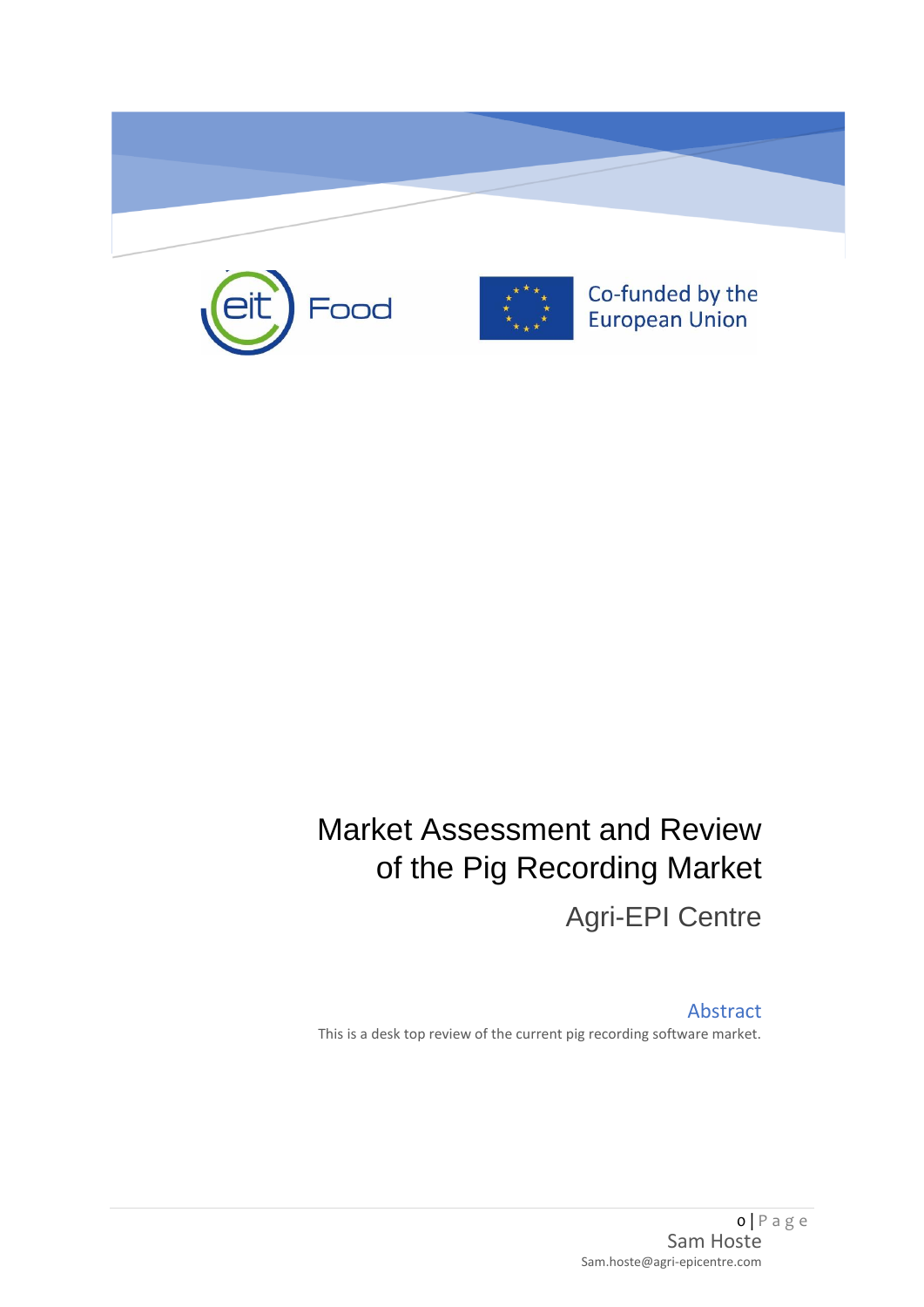





Co-funded by the European Union

# Market Assessment and Review of the Pig Recording Market Agri-EPI Centre

Abstract This is a desk top review of the current pig recording software market.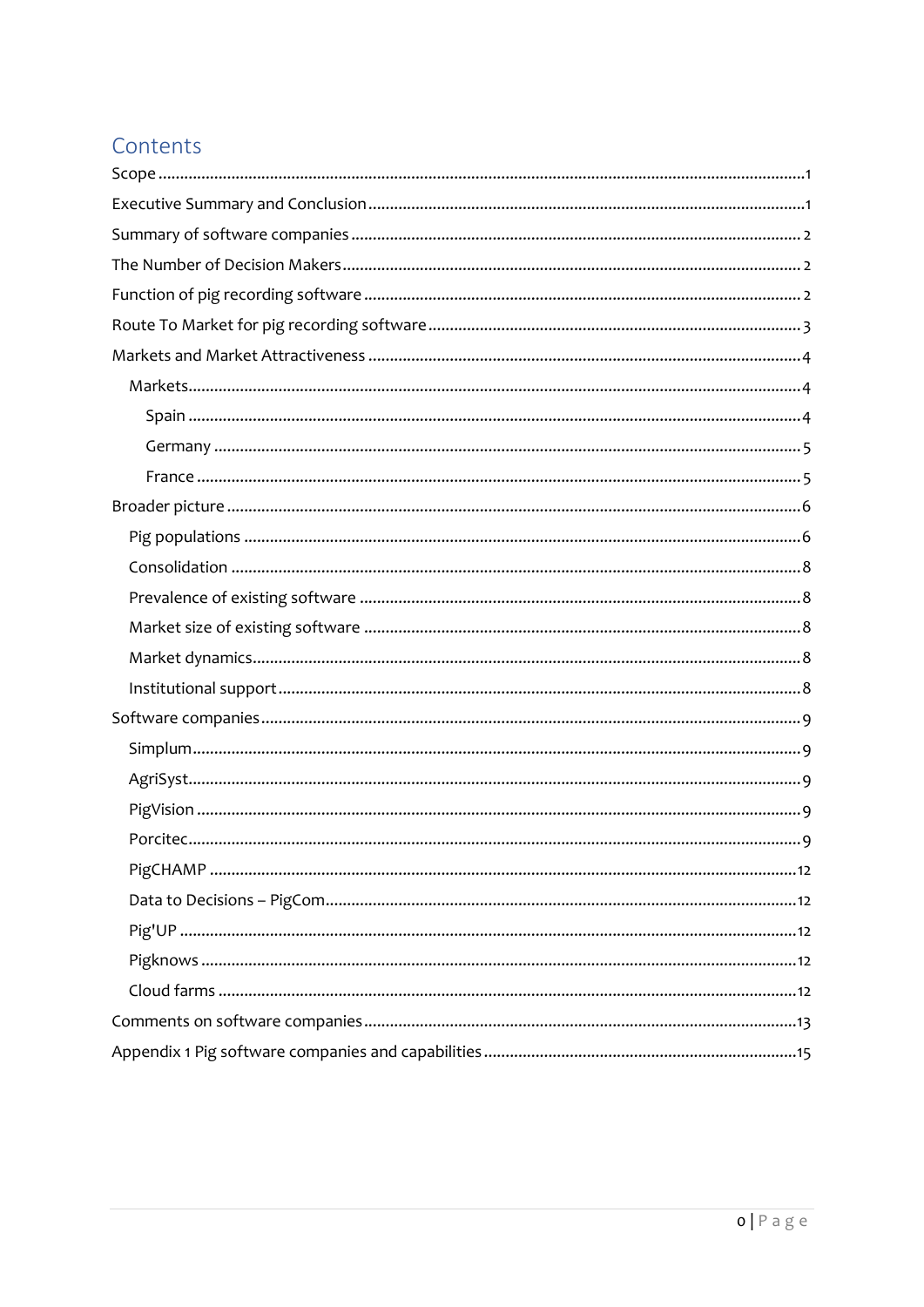# Contents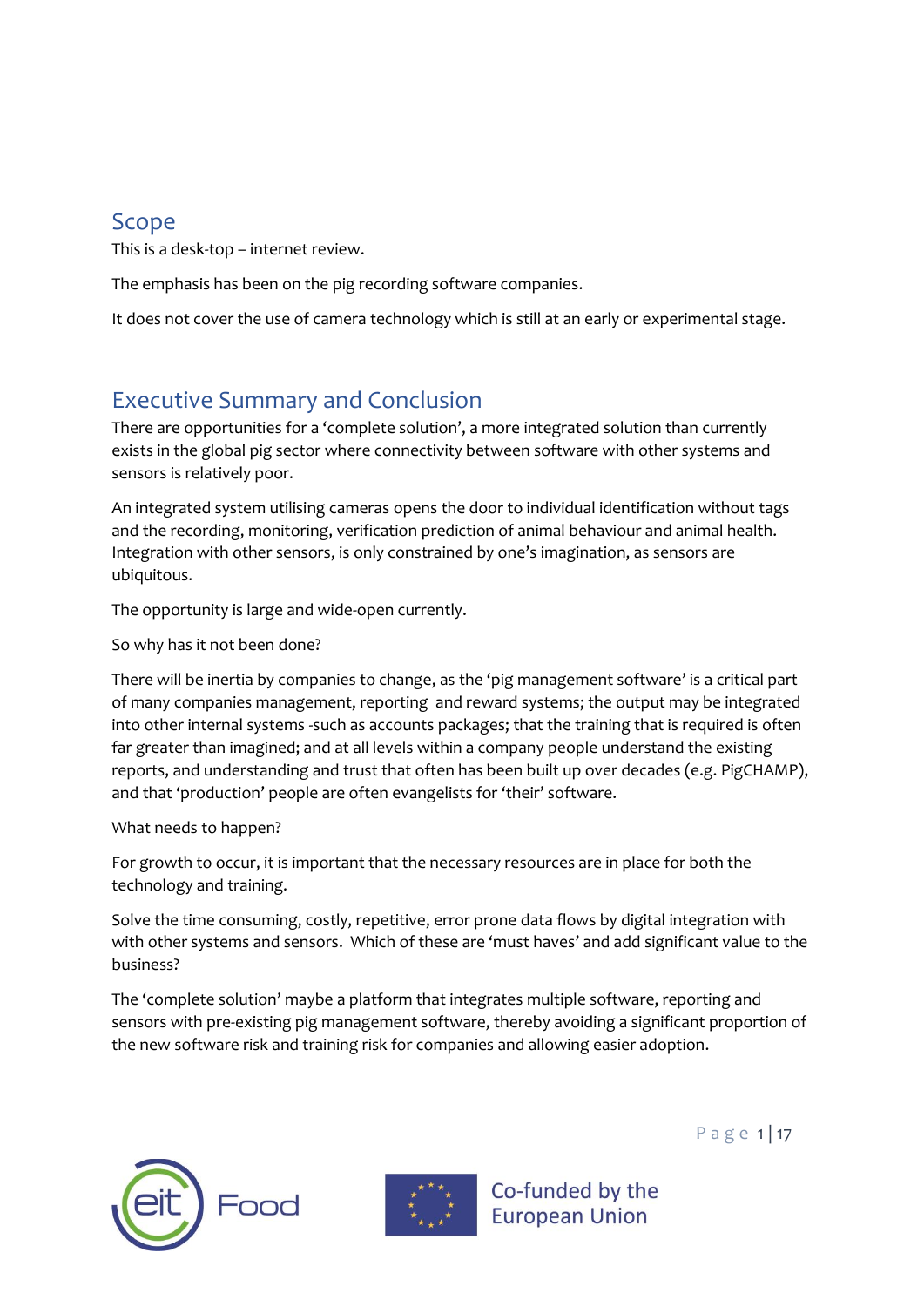## <span id="page-2-0"></span>Scope

This is a desk-top – internet review.

The emphasis has been on the pig recording software companies.

It does not cover the use of camera technology which is still at an early or experimental stage.

# <span id="page-2-1"></span>Executive Summary and Conclusion

There are opportunities for a 'complete solution', a more integrated solution than currently exists in the global pig sector where connectivity between software with other systems and sensors is relatively poor.

An integrated system utilising cameras opens the door to individual identification without tags and the recording, monitoring, verification prediction of animal behaviour and animal health. Integration with other sensors, is only constrained by one's imagination, as sensors are ubiquitous.

The opportunity is large and wide-open currently.

So why has it not been done?

There will be inertia by companies to change, as the 'pig management software' is a critical part of many companies management, reporting and reward systems; the output may be integrated into other internal systems -such as accounts packages; that the training that is required is often far greater than imagined; and at all levels within a company people understand the existing reports, and understanding and trust that often has been built up over decades (e.g. PigCHAMP), and that 'production' people are often evangelists for 'their' software.

What needs to happen?

For growth to occur, it is important that the necessary resources are in place for both the technology and training.

Solve the time consuming, costly, repetitive, error prone data flows by digital integration with with other systems and sensors. Which of these are 'must haves' and add significant value to the business?

The 'complete solution' maybe a platform that integrates multiple software, reporting and sensors with pre-existing pig management software, thereby avoiding a significant proportion of the new software risk and training risk for companies and allowing easier adoption.





Co-funded by the **European Union** 

P a g e 1 | 17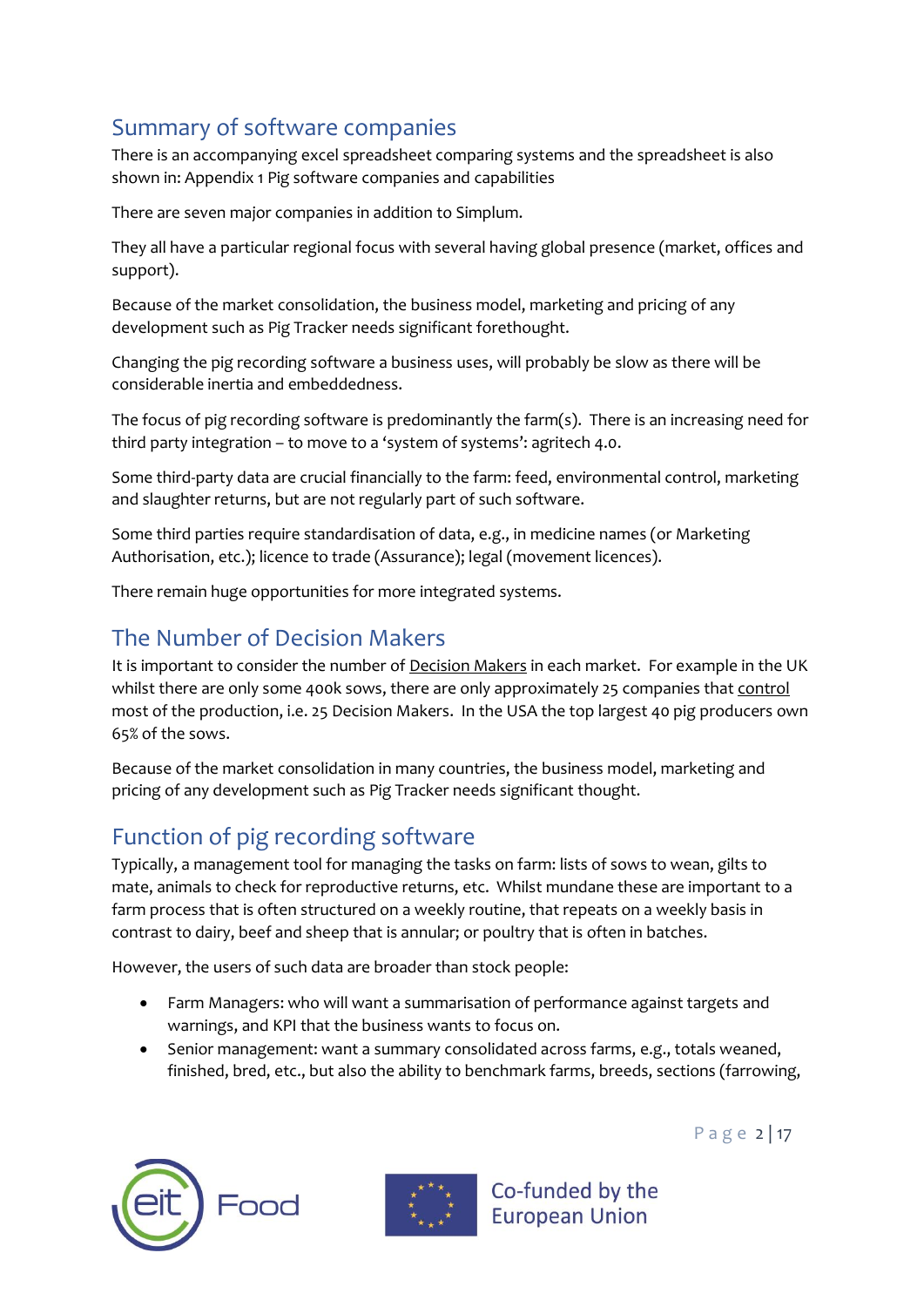# <span id="page-3-0"></span>Summary of software companies

There is an accompanying excel spreadsheet comparing systems and the spreadsheet is also shown in: [Appendix 1 Pig software companies and capabilities](#page-16-0)

There are seven major companies in addition to Simplum.

They all have a particular regional focus with several having global presence (market, offices and support).

Because of the market consolidation, the business model, marketing and pricing of any development such as Pig Tracker needs significant forethought.

Changing the pig recording software a business uses, will probably be slow as there will be considerable inertia and embeddedness.

The focus of pig recording software is predominantly the farm(s). There is an increasing need for third party integration – to move to a 'system of systems': agritech 4.0.

Some third-party data are crucial financially to the farm: feed, environmental control, marketing and slaughter returns, but are not regularly part of such software.

Some third parties require standardisation of data, e.g., in medicine names (or Marketing Authorisation, etc.); licence to trade (Assurance); legal (movement licences).

There remain huge opportunities for more integrated systems.

# <span id="page-3-1"></span>The Number of Decision Makers

It is important to consider the number of Decision Makers in each market. For example in the UK whilst there are only some 400k sows, there are only approximately 25 companies that control most of the production, i.e. 25 Decision Makers. In the USA the top largest 40 pig producers own 65% of the sows.

Because of the market consolidation in many countries, the business model, marketing and pricing of any development such as Pig Tracker needs significant thought.

# <span id="page-3-2"></span>Function of pig recording software

Typically, a management tool for managing the tasks on farm: lists of sows to wean, gilts to mate, animals to check for reproductive returns, etc. Whilst mundane these are important to a farm process that is often structured on a weekly routine, that repeats on a weekly basis in contrast to dairy, beef and sheep that is annular; or poultry that is often in batches.

However, the users of such data are broader than stock people:

- Farm Managers: who will want a summarisation of performance against targets and warnings, and KPI that the business wants to focus on.
- Senior management: want a summary consolidated across farms, e.g., totals weaned, finished, bred, etc., but also the ability to benchmark farms, breeds, sections (farrowing,





Co-funded by the **European Union** 

P a g e 2 | 17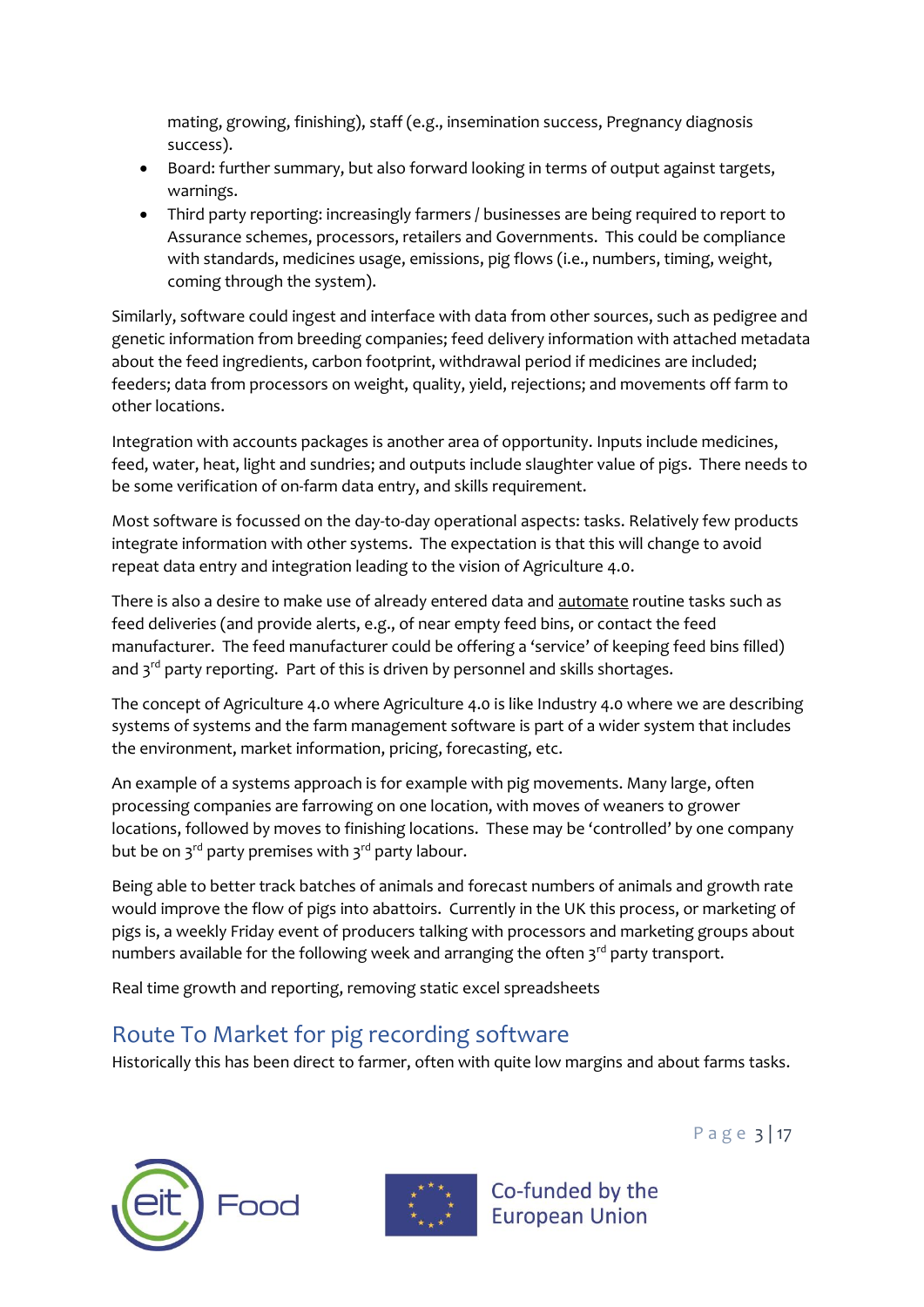mating, growing, finishing), staff (e.g., insemination success, Pregnancy diagnosis success).

- Board: further summary, but also forward looking in terms of output against targets, warnings.
- Third party reporting: increasingly farmers / businesses are being required to report to Assurance schemes, processors, retailers and Governments. This could be compliance with standards, medicines usage, emissions, pig flows (i.e., numbers, timing, weight, coming through the system).

Similarly, software could ingest and interface with data from other sources, such as pedigree and genetic information from breeding companies; feed delivery information with attached metadata about the feed ingredients, carbon footprint, withdrawal period if medicines are included; feeders; data from processors on weight, quality, yield, rejections; and movements off farm to other locations.

Integration with accounts packages is another area of opportunity. Inputs include medicines, feed, water, heat, light and sundries; and outputs include slaughter value of pigs. There needs to be some verification of on-farm data entry, and skills requirement.

Most software is focussed on the day-to-day operational aspects: tasks. Relatively few products integrate information with other systems. The expectation is that this will change to avoid repeat data entry and integration leading to the vision of Agriculture 4.0.

There is also a desire to make use of already entered data and automate routine tasks such as feed deliveries (and provide alerts, e.g., of near empty feed bins, or contact the feed manufacturer. The feed manufacturer could be offering a 'service' of keeping feed bins filled) and  $3<sup>rd</sup>$  party reporting. Part of this is driven by personnel and skills shortages.

The concept of Agriculture 4.0 where Agriculture 4.0 is like Industry 4.0 where we are describing systems of systems and the farm management software is part of a wider system that includes the environment, market information, pricing, forecasting, etc.

An example of a systems approach is for example with pig movements. Many large, often processing companies are farrowing on one location, with moves of weaners to grower locations, followed by moves to finishing locations. These may be 'controlled' by one company but be on  $3^{rd}$  party premises with  $3^{rd}$  party labour.

Being able to better track batches of animals and forecast numbers of animals and growth rate would improve the flow of pigs into abattoirs. Currently in the UK this process, or marketing of pigs is, a weekly Friday event of producers talking with processors and marketing groups about numbers available for the following week and arranging the often  $3<sup>rd</sup>$  party transport.

Real time growth and reporting, removing static excel spreadsheets

# <span id="page-4-0"></span>Route To Market for pig recording software

Historically this has been direct to farmer, often with quite low margins and about farms tasks.





Co-funded by the **European Union** 

P a g e 3 | 17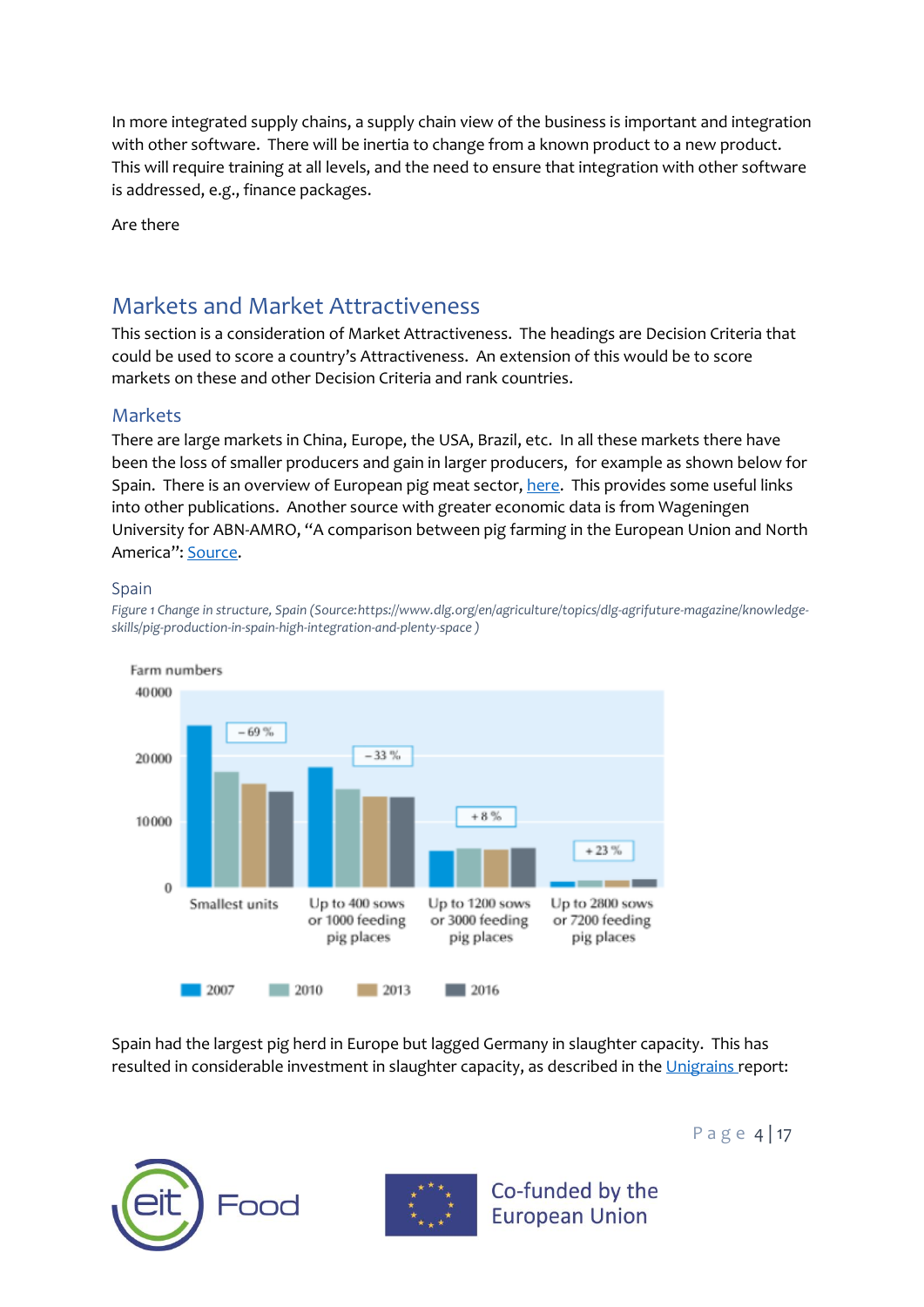In more integrated supply chains, a supply chain view of the business is important and integration with other software. There will be inertia to change from a known product to a new product. This will require training at all levels, and the need to ensure that integration with other software is addressed, e.g., finance packages.

Are there

### <span id="page-5-0"></span>Markets and Market Attractiveness

This section is a consideration of Market Attractiveness. The headings are Decision Criteria that could be used to score a country's Attractiveness. An extension of this would be to score markets on these and other Decision Criteria and rank countries.

#### <span id="page-5-1"></span>Markets

There are large markets in China, Europe, the USA, Brazil, etc. In all these markets there have been the loss of smaller producers and gain in larger producers, for example as shown below for Spain. There is an overview of European pig meat sector[, here.](https://www.europarl.europa.eu/RegData/etudes/BRIE/2020/652044/EPRS_BRI(2020)652044_EN.pdf) This provides some useful links into other publications. Another source with greater economic data is from Wageningen University for ABN-AMRO, "A comparison between pig farming in the European Union and North America": [Source.](https://edepot.wur.nl/121193)

#### <span id="page-5-2"></span>Spain

*Figure 1 Change in structure, Spain (Source:https://www.dlg.org/en/agriculture/topics/dlg-agrifuture-magazine/knowledgeskills/pig-production-in-spain-high-integration-and-plenty-space )*



Spain had the largest pig herd in Europe but lagged Germany in slaughter capacity. This has resulted in considerable investment in slaughter capacity, as described in the [Unigrains r](https://www.unigrains.fr/wp-content/uploads/2019/09/190924_ung_inbref_porkspain.pdf)eport:





Co-funded by the

**European Union** 

P a g e 4 | 17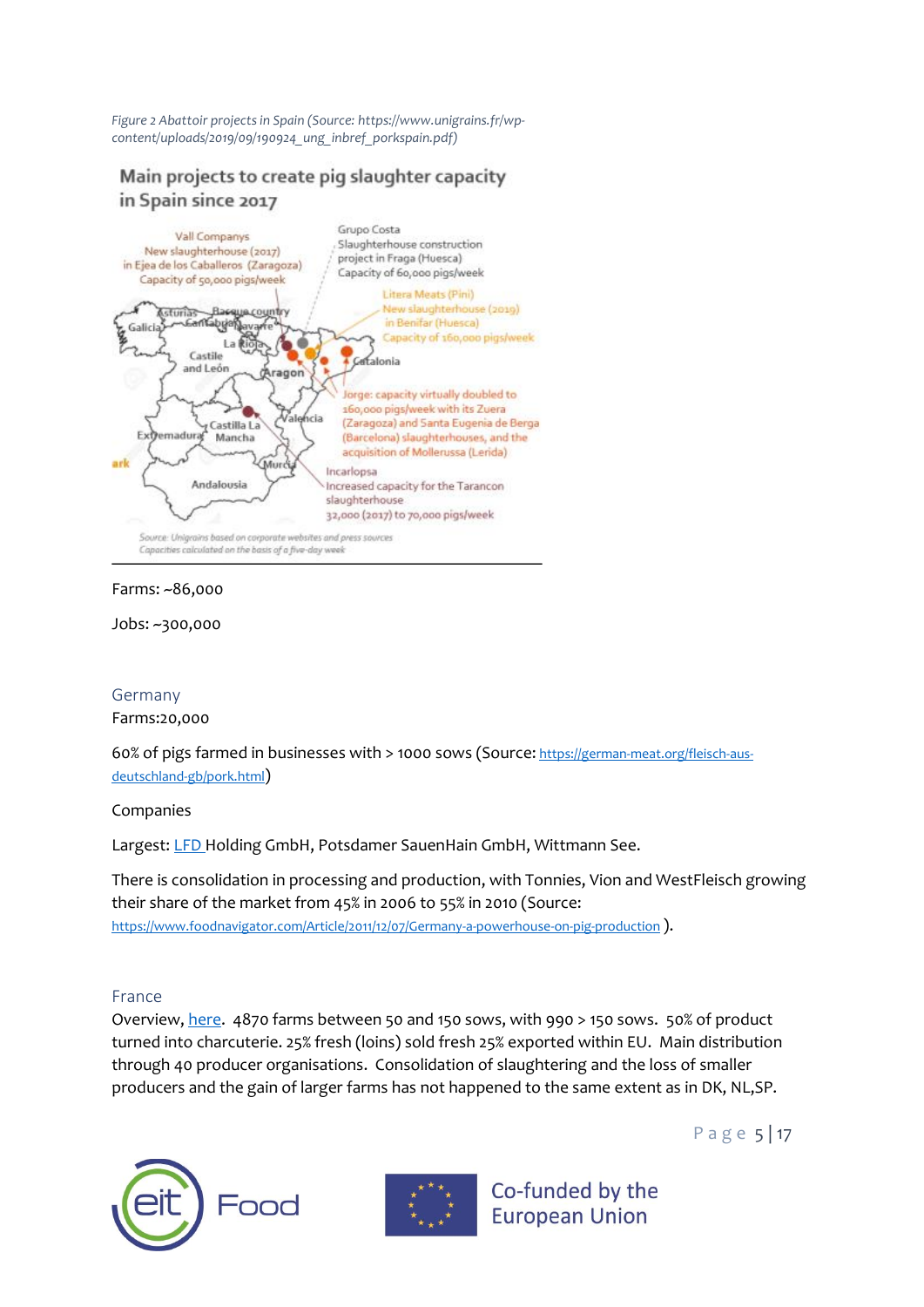*Figure 2 Abattoir projects in Spain (Source: https://www.unigrains.fr/wpcontent/uploads/2019/09/190924\_ung\_inbref\_porkspain.pdf)*

### Main projects to create pig slaughter capacity in Spain since 2017



#### Farms: ~86,000

Jobs: ~300,000

#### <span id="page-6-0"></span>Germany

Farms:20,000

60% of pigs farmed in businesses with > 1000 sows (Source: [https://german-meat.org/fleisch-aus](https://german-meat.org/fleisch-aus-deutschland-gb/pork.html)[deutschland-gb/pork.html](https://german-meat.org/fleisch-aus-deutschland-gb/pork.html))

#### Companies

Largest: [LFD H](https://www.lfd-holding.com/)olding GmbH, Potsdamer SauenHain GmbH, Wittmann See.

There is consolidation in processing and production, with Tonnies, Vion and WestFleisch growing their share of the market from 45% in 2006 to 55% in 2010 (Source: <https://www.foodnavigator.com/Article/2011/12/07/Germany-a-powerhouse-on-pig-production> ).

#### <span id="page-6-1"></span>France

Overview[, here.](https://www.pig333.com/articles/pig-production-in%E2%80%A6-france-third-largest-pig-producer-in-europe_14568/) 4870 farms between 50 and 150 sows, with 990 > 150 sows. 50% of product turned into charcuterie. 25% fresh (loins) sold fresh 25% exported within EU. Main distribution through 40 producer organisations. Consolidation of slaughtering and the loss of smaller producers and the gain of larger farms has not happened to the same extent as in DK, NL,SP.





Co-funded by the **European Union** 

P a g e 5 | 17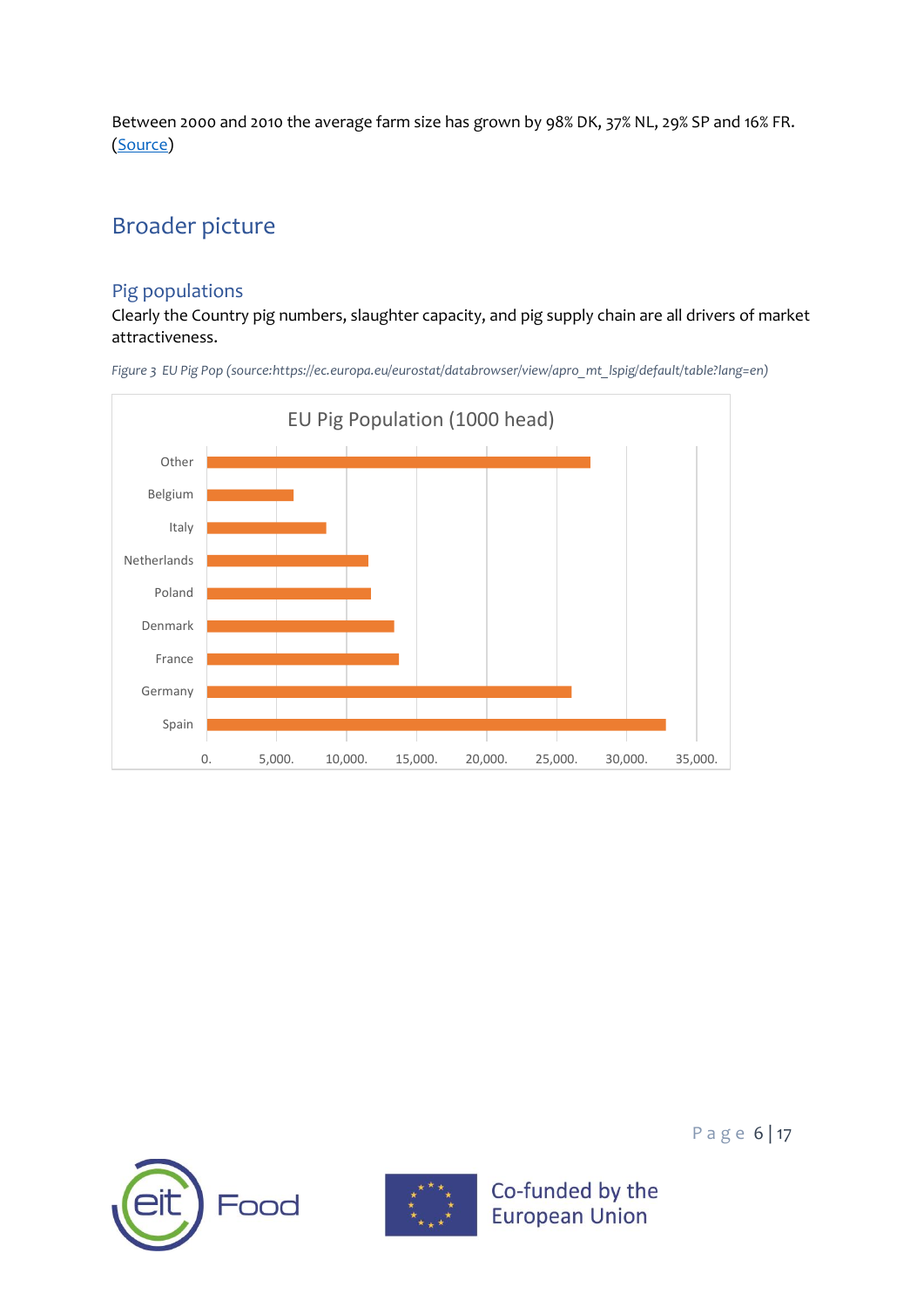Between 2000 and 2010 the average farm size has grown by 98% DK, 37% NL, 29% SP and 16% FR. [\(Source\)](https://www.tbsearch.fr/en/french-animal-agriculture-losing-ground-in-the-face-of-european-competition/)

# <span id="page-7-0"></span>Broader picture

### <span id="page-7-1"></span>Pig populations

Clearly the Country pig numbers, slaughter capacity, and pig supply chain are all drivers of market attractiveness.









Co-funded by the

**European Union** 

P a g e 6 | 17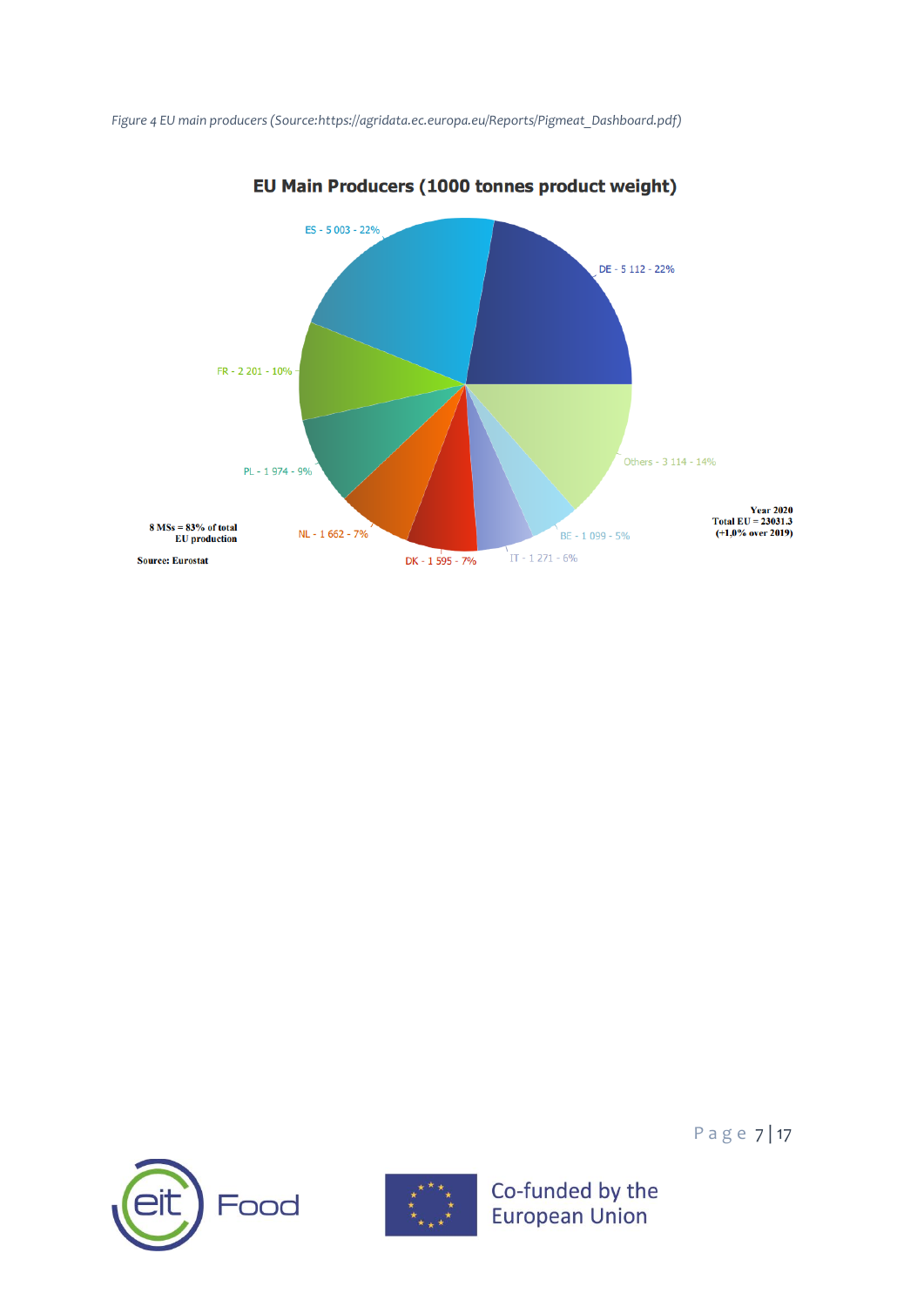



EU Main Producers (1000 tonnes product weight)





Page 7 | 17

Co-funded by the<br>European Union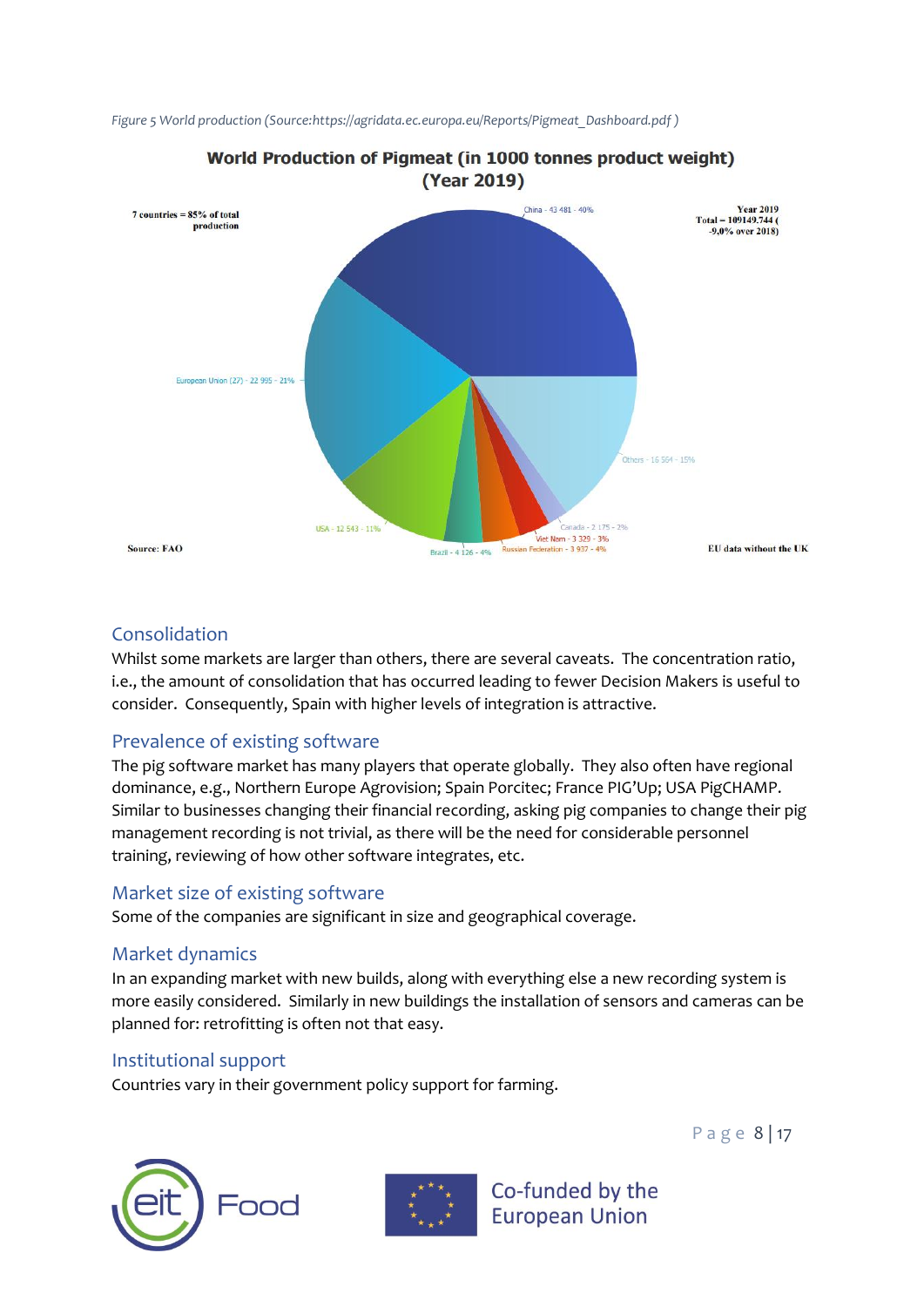

*Figure 5 World production (Source:https://agridata.ec.europa.eu/Reports/Pigmeat\_Dashboard.pdf )*

#### <span id="page-9-0"></span>Consolidation

Whilst some markets are larger than others, there are several caveats. The concentration ratio, i.e., the amount of consolidation that has occurred leading to fewer Decision Makers is useful to consider. Consequently, Spain with higher levels of integration is attractive.

### <span id="page-9-1"></span>Prevalence of existing software

The pig software market has many players that operate globally. They also often have regional dominance, e.g., Northern Europe Agrovision; Spain Porcitec; France PIG'Up; USA PigCHAMP. Similar to businesses changing their financial recording, asking pig companies to change their pig management recording is not trivial, as there will be the need for considerable personnel training, reviewing of how other software integrates, etc.

#### <span id="page-9-2"></span>Market size of existing software

Some of the companies are significant in size and geographical coverage.

#### <span id="page-9-3"></span>Market dynamics

In an expanding market with new builds, along with everything else a new recording system is more easily considered. Similarly in new buildings the installation of sensors and cameras can be planned for: retrofitting is often not that easy.

#### <span id="page-9-4"></span>Institutional support

Countries vary in their government policy support for farming.

P a g e 8 | 17





Co-funded by the **European Union**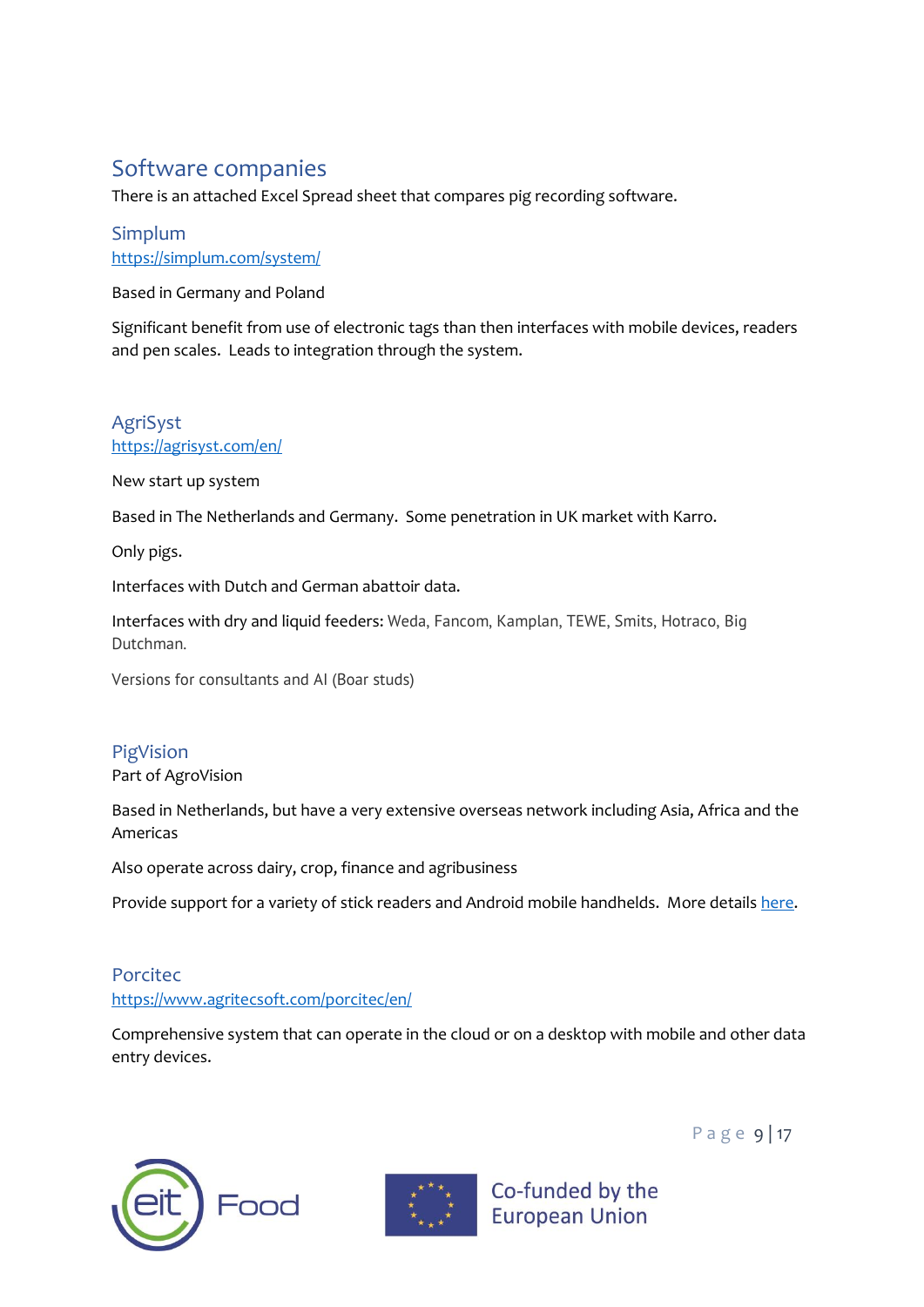# <span id="page-10-0"></span>Software companies

There is an attached Excel Spread sheet that compares pig recording software.

### <span id="page-10-1"></span>Simplum <https://simplum.com/system/>

Based in Germany and Poland

Significant benefit from use of electronic tags than then interfaces with mobile devices, readers and pen scales. Leads to integration through the system.

### <span id="page-10-2"></span>AgriSyst <https://agrisyst.com/en/>

New start up system

Based in The Netherlands and Germany. Some penetration in UK market with Karro.

Only pigs.

Interfaces with Dutch and German abattoir data.

Interfaces with dry and liquid feeders: Weda, Fancom, Kamplan, TEWE, Smits, Hotraco, Big Dutchman.

Versions for consultants and AI (Boar studs)

# <span id="page-10-3"></span>PigVision

Part of AgroVision

Based in Netherlands, but have a very extensive overseas network including Asia, Africa and the Americas

Also operate across dairy, crop, finance and agribusiness

Provide support for a variety of stick readers and Android mobile handhelds. More detail[s here.](https://www.agrovision.com/wp-content/uploads/2021/05/21.053-Stickreaders-Leaflet-A4-ENG-web.pdf)

### <span id="page-10-4"></span>Porcitec <https://www.agritecsoft.com/porcitec/en/>

Comprehensive system that can operate in the cloud or on a desktop with mobile and other data entry devices.





Co-funded by the **European Union** 

P a g e 9 | 17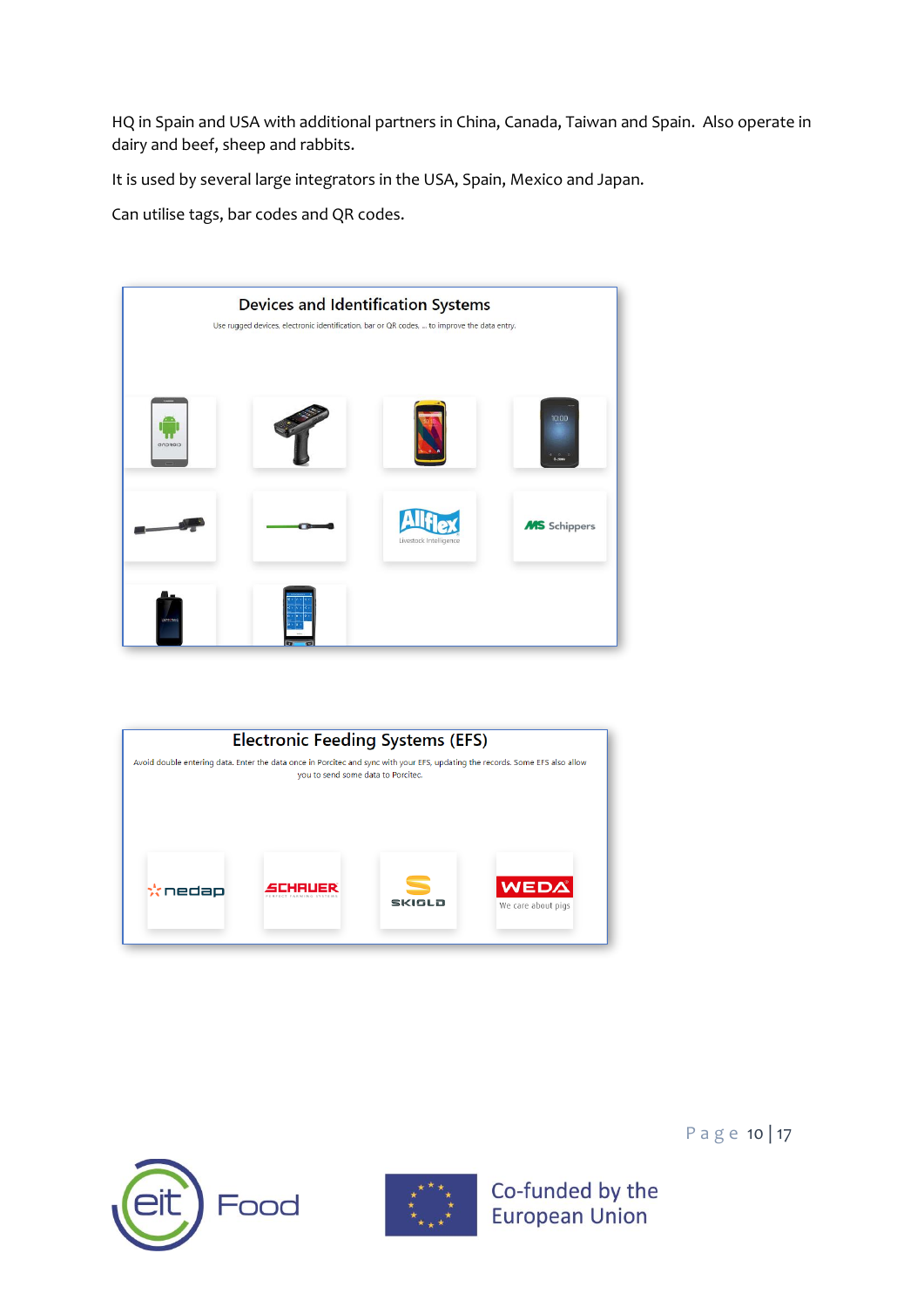HQ in Spain and USA with additional partners in China, Canada, Taiwan and Spain. Also operate in dairy and beef, sheep and rabbits.

It is used by several large integrators in the USA, Spain, Mexico and Japan.

Can utilise tags, bar codes and QR codes.

|            | Use rugged devices, electronic identification, bar or QR codes,  to improve the data entry. | <b>Devices and Identification Systems</b> |                          |
|------------|---------------------------------------------------------------------------------------------|-------------------------------------------|--------------------------|
| CIOFCND    |                                                                                             |                                           | 10:00<br>40.00<br>6.zmax |
|            |                                                                                             | Livestock Intelligence                    | <b>MS</b> Schippers      |
| coalection |                                                                                             |                                           |                          |







P a g e 10 | 17

Co-funded by the **European Union**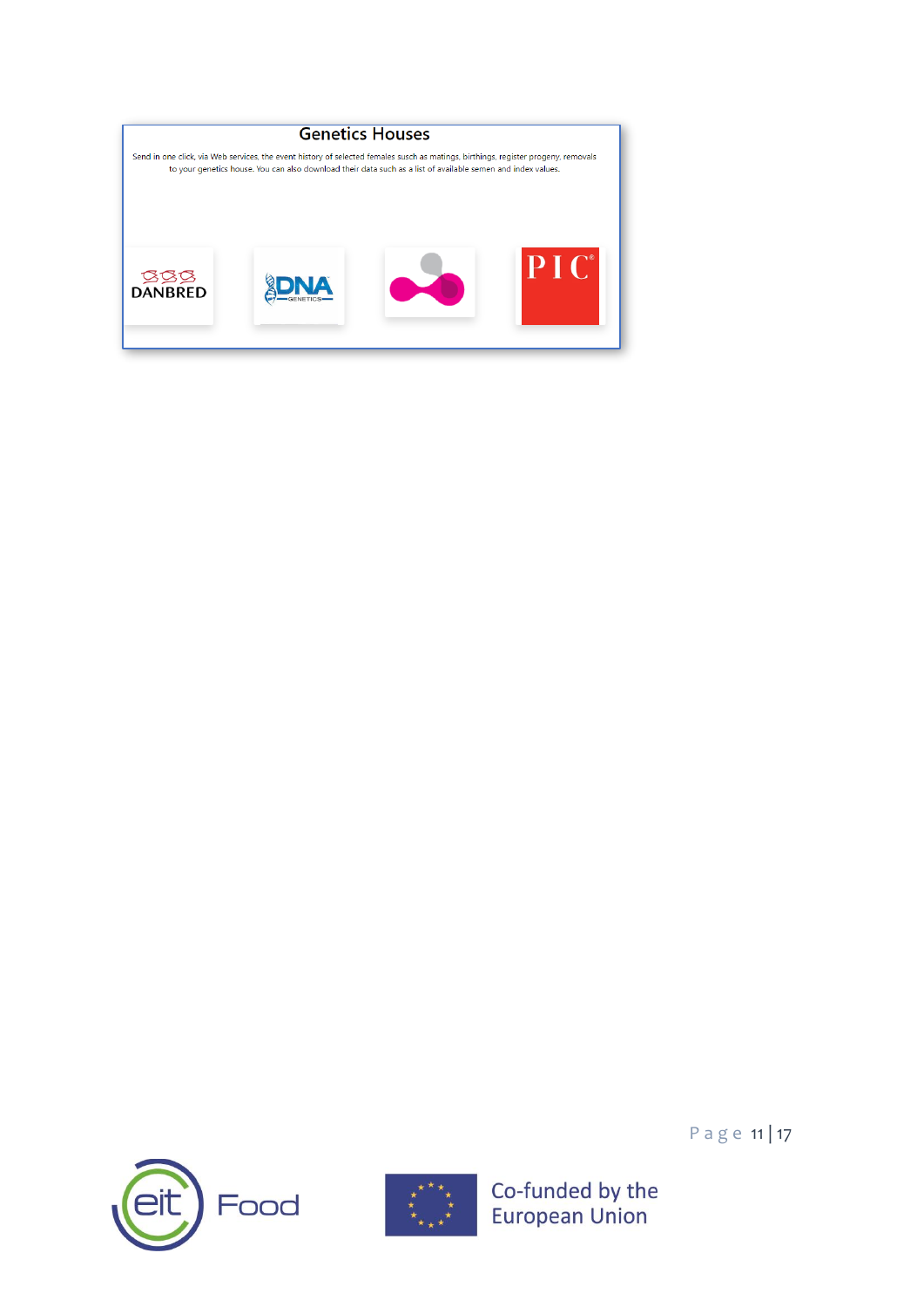





Page 11 | 17

Co-funded by the<br>European Union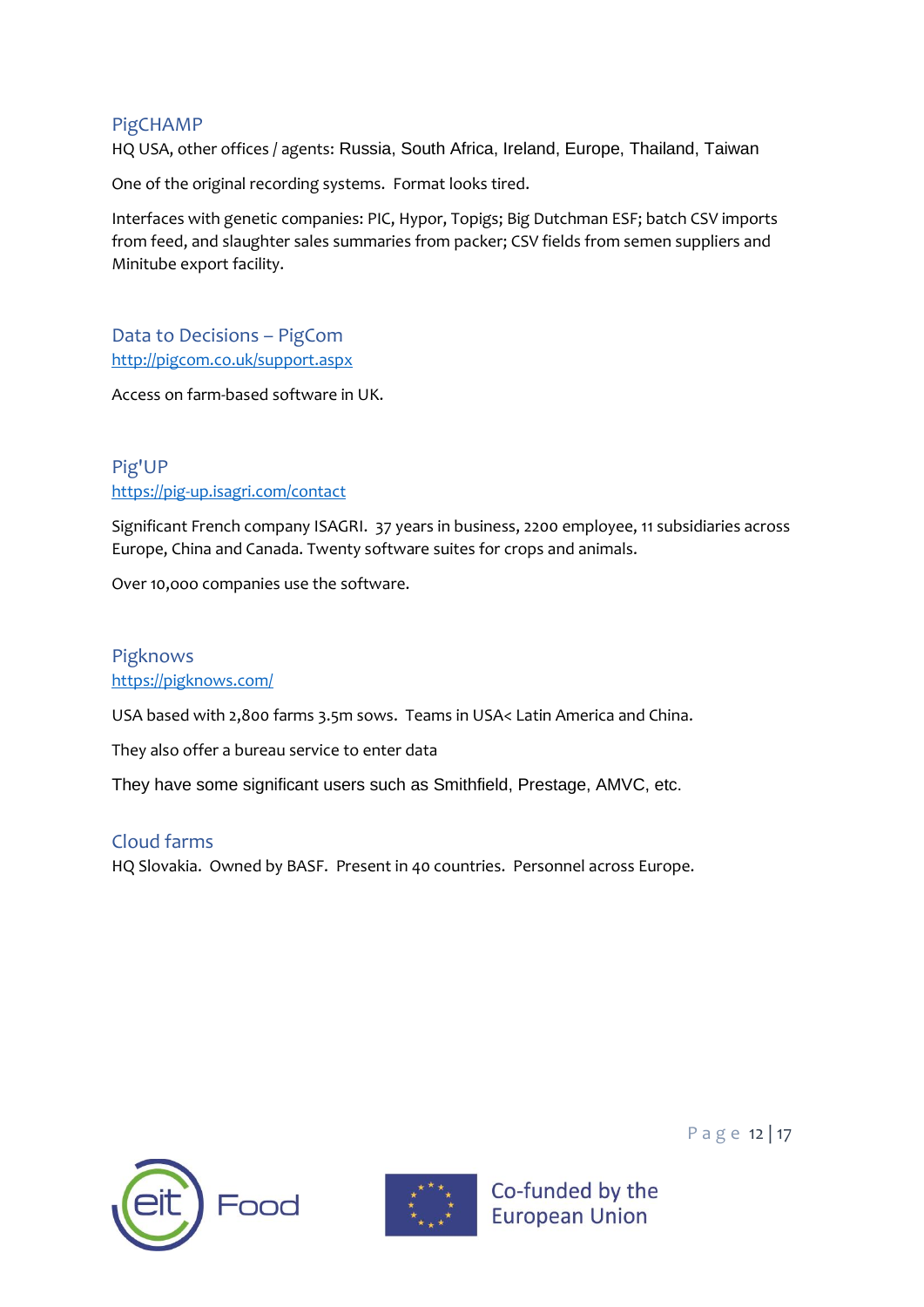#### <span id="page-13-0"></span>PigCHAMP

HQ USA, other offices / agents: Russia, South Africa, Ireland, Europe, Thailand, Taiwan

One of the original recording systems. Format looks tired.

Interfaces with genetic companies: PIC, Hypor, Topigs; Big Dutchman ESF; batch CSV imports from feed, and slaughter sales summaries from packer; CSV fields from semen suppliers and Minitube export facility.

<span id="page-13-1"></span>Data to Decisions – PigCom <http://pigcom.co.uk/support.aspx>

Access on farm-based software in UK.

### <span id="page-13-2"></span>Pig'UP <https://pig-up.isagri.com/contact>

Significant French company ISAGRI. 37 years in business, 2200 employee, 11 subsidiaries across Europe, China and Canada. Twenty software suites for crops and animals.

Over 10,ooo companies use the software.

### <span id="page-13-3"></span>Pigknows <https://pigknows.com/>

USA based with 2,800 farms 3.5m sows. Teams in USA< Latin America and China.

They also offer a bureau service to enter data

They have some significant users such as Smithfield, Prestage, AMVC, etc.

### <span id="page-13-4"></span>Cloud farms HQ Slovakia. Owned by BASF. Present in 40 countries. Personnel across Europe.





Co-funded by the

**European Union** 

P a g e 12 | 17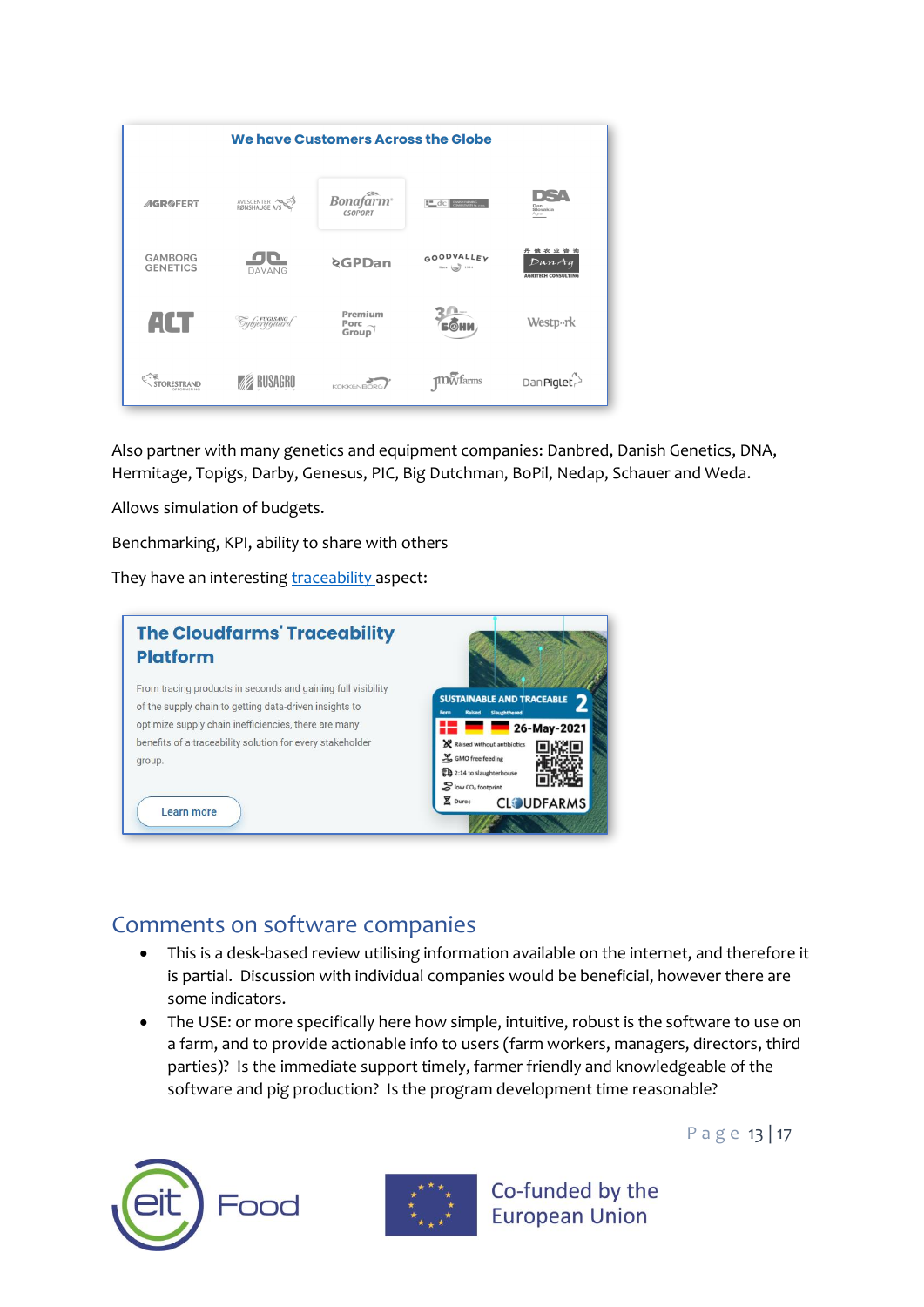

Also partner with many genetics and equipment companies: Danbred, Danish Genetics, DNA, Hermitage, Topigs, Darby, Genesus, PIC, Big Dutchman, BoPil, Nedap, Schauer and Weda.

Allows simulation of budgets.

Benchmarking, KPI, ability to share with others

They have an interesting [traceability a](https://en.cloudfarms.com/traceability/)spect:



### <span id="page-14-0"></span>Comments on software companies

- This is a desk-based review utilising information available on the internet, and therefore it is partial. Discussion with individual companies would be beneficial, however there are some indicators.
- The USE: or more specifically here how simple, intuitive, robust is the software to use on a farm, and to provide actionable info to users (farm workers, managers, directors, third parties)? Is the immediate support timely, farmer friendly and knowledgeable of the software and pig production? Is the program development time reasonable?





Co-funded by the **European Union** 

P a g e 13 | 17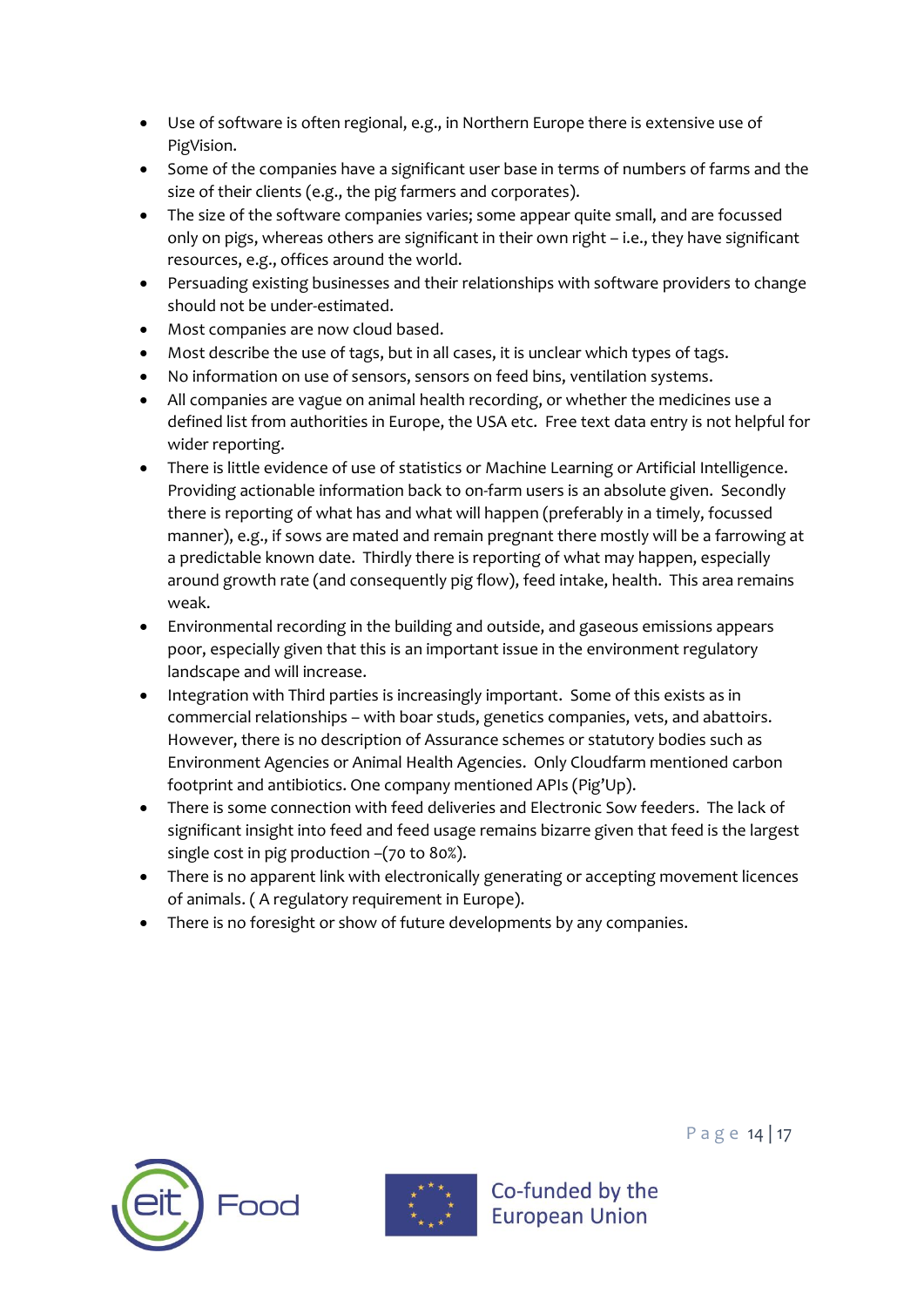- Use of software is often regional, e.g., in Northern Europe there is extensive use of PigVision.
- Some of the companies have a significant user base in terms of numbers of farms and the size of their clients (e.g., the pig farmers and corporates).
- The size of the software companies varies; some appear quite small, and are focussed only on pigs, whereas others are significant in their own right – i.e., they have significant resources, e.g., offices around the world.
- Persuading existing businesses and their relationships with software providers to change should not be under-estimated.
- Most companies are now cloud based.
- Most describe the use of tags, but in all cases, it is unclear which types of tags.
- No information on use of sensors, sensors on feed bins, ventilation systems.
- All companies are vague on animal health recording, or whether the medicines use a defined list from authorities in Europe, the USA etc. Free text data entry is not helpful for wider reporting.
- There is little evidence of use of statistics or Machine Learning or Artificial Intelligence. Providing actionable information back to on-farm users is an absolute given. Secondly there is reporting of what has and what will happen (preferably in a timely, focussed manner), e.g., if sows are mated and remain pregnant there mostly will be a farrowing at a predictable known date. Thirdly there is reporting of what may happen, especially around growth rate (and consequently pig flow), feed intake, health. This area remains weak.
- Environmental recording in the building and outside, and gaseous emissions appears poor, especially given that this is an important issue in the environment regulatory landscape and will increase.
- Integration with Third parties is increasingly important. Some of this exists as in commercial relationships – with boar studs, genetics companies, vets, and abattoirs. However, there is no description of Assurance schemes or statutory bodies such as Environment Agencies or Animal Health Agencies. Only Cloudfarm mentioned carbon footprint and antibiotics. One company mentioned APIs (Pig'Up).
- There is some connection with feed deliveries and Electronic Sow feeders. The lack of significant insight into feed and feed usage remains bizarre given that feed is the largest single cost in pig production –(70 to 80%).
- There is no apparent link with electronically generating or accepting movement licences of animals. ( A regulatory requirement in Europe).
- There is no foresight or show of future developments by any companies.





Co-funded by the

**European Union** 

P a g e 14 | 17